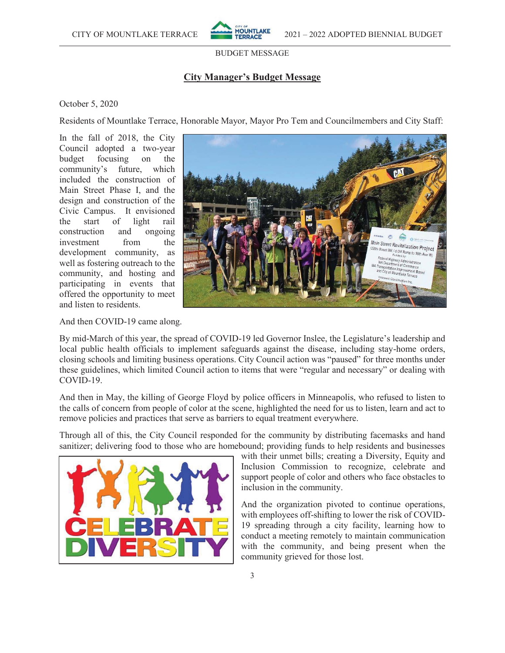

# **City Manager's Budget Message**

#### October 5, 2020

Residents of Mountlake Terrace, Honorable Mayor, Mayor Pro Tem and Councilmembers and City Staff:

In the fall of 2018, the City Council adopted a two-year budget focusing on the community's future, which included the construction of Main Street Phase I, and the design and construction of the Civic Campus. It envisioned the start of light rail construction and ongoing investment from the development community, as well as fostering outreach to the community, and hosting and participating in events that offered the opportunity to meet and listen to residents.



And then COVID-19 came along.

By mid-March of this year, the spread of COVID-19 led Governor Inslee, the Legislature's leadership and local public health officials to implement safeguards against the disease, including stay-home orders, closing schools and limiting business operations. City Council action was "paused" for three months under these guidelines, which limited Council action to items that were "regular and necessary" or dealing with COVID-19.

And then in May, the killing of George Floyd by police officers in Minneapolis, who refused to listen to the calls of concern from people of color at the scene, highlighted the need for us to listen, learn and act to remove policies and practices that serve as barriers to equal treatment everywhere.

Through all of this, the City Council responded for the community by distributing facemasks and hand sanitizer; delivering food to those who are homebound; providing funds to help residents and businesses



with their unmet bills; creating a Diversity, Equity and Inclusion Commission to recognize, celebrate and support people of color and others who face obstacles to inclusion in the community.

And the organization pivoted to continue operations, with employees off-shifting to lower the risk of COVID-19 spreading through a city facility, learning how to conduct a meeting remotely to maintain communication with the community, and being present when the community grieved for those lost.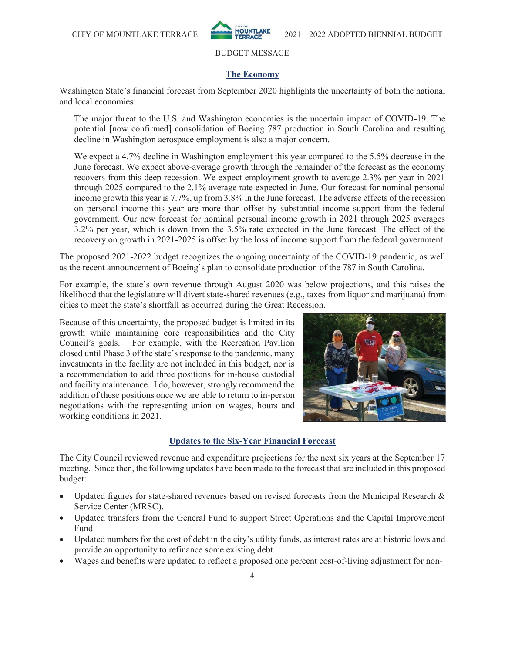

# **The Economy**

Washington State's financial forecast from September 2020 highlights the uncertainty of both the national and local economies:

The major threat to the U.S. and Washington economies is the uncertain impact of COVID-19. The potential [now confirmed] consolidation of Boeing 787 production in South Carolina and resulting decline in Washington aerospace employment is also a major concern.

We expect a 4.7% decline in Washington employment this year compared to the 5.5% decrease in the June forecast. We expect above-average growth through the remainder of the forecast as the economy recovers from this deep recession. We expect employment growth to average 2.3% per year in 2021 through 2025 compared to the 2.1% average rate expected in June. Our forecast for nominal personal income growth this year is 7.7%, up from 3.8% in the June forecast. The adverse effects of the recession on personal income this year are more than offset by substantial income support from the federal government. Our new forecast for nominal personal income growth in 2021 through 2025 averages 3.2% per year, which is down from the 3.5% rate expected in the June forecast. The effect of the recovery on growth in 2021-2025 is offset by the loss of income support from the federal government.

The proposed 2021-2022 budget recognizes the ongoing uncertainty of the COVID-19 pandemic, as well as the recent announcement of Boeing's plan to consolidate production of the 787 in South Carolina.

For example, the state's own revenue through August 2020 was below projections, and this raises the likelihood that the legislature will divert state-shared revenues (e.g., taxes from liquor and marijuana) from cities to meet the state's shortfall as occurred during the Great Recession.

Because of this uncertainty, the proposed budget is limited in its growth while maintaining core responsibilities and the City Council's goals. For example, with the Recreation Pavilion closed until Phase 3 of the state's response to the pandemic, many investments in the facility are not included in this budget, nor is a recommendation to add three positions for in-house custodial and facility maintenance. I do, however, strongly recommend the addition of these positions once we are able to return to in-person negotiations with the representing union on wages, hours and working conditions in 2021.



# **Updates to the Six-Year Financial Forecast**

The City Council reviewed revenue and expenditure projections for the next six years at the September 17 meeting. Since then, the following updates have been made to the forecast that are included in this proposed budget:

- Updated figures for state-shared revenues based on revised forecasts from the Municipal Research  $\&$ Service Center (MRSC).
- Updated transfers from the General Fund to support Street Operations and the Capital Improvement Fund.
- Updated numbers for the cost of debt in the city's utility funds, as interest rates are at historic lows and provide an opportunity to refinance some existing debt.
- Wages and benefits were updated to reflect a proposed one percent cost-of-living adjustment for non-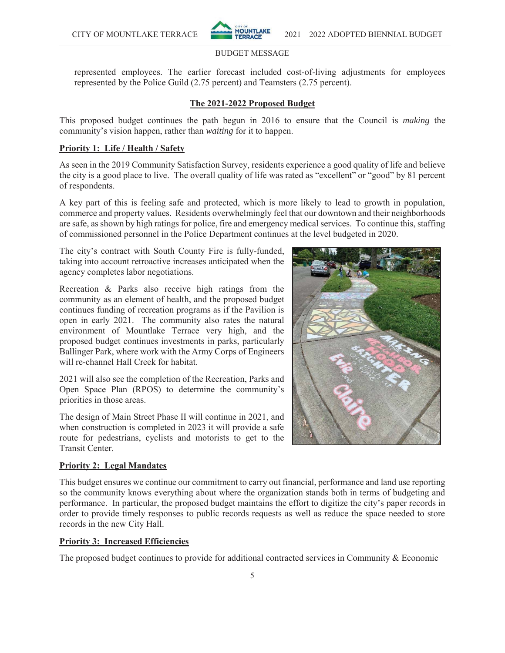

represented employees. The earlier forecast included cost-of-living adjustments for employees represented by the Police Guild (2.75 percent) and Teamsters (2.75 percent).

#### **The 2021-2022 Proposed Budget**

This proposed budget continues the path begun in 2016 to ensure that the Council is *making* the community's vision happen, rather than *waiting* for it to happen.

### **Priority 1: Life / Health / Safety**

As seen in the 2019 Community Satisfaction Survey, residents experience a good quality of life and believe the city is a good place to live. The overall quality of life was rated as "excellent" or "good" by 81 percent of respondents.

A key part of this is feeling safe and protected, which is more likely to lead to growth in population, commerce and property values. Residents overwhelmingly feel that our downtown and their neighborhoods are safe, as shown by high ratings for police, fire and emergency medical services. To continue this, staffing of commissioned personnel in the Police Department continues at the level budgeted in 2020.

The city's contract with South County Fire is fully-funded, taking into account retroactive increases anticipated when the agency completes labor negotiations.

Recreation & Parks also receive high ratings from the community as an element of health, and the proposed budget continues funding of recreation programs as if the Pavilion is open in early 2021. The community also rates the natural environment of Mountlake Terrace very high, and the proposed budget continues investments in parks, particularly Ballinger Park, where work with the Army Corps of Engineers will re-channel Hall Creek for habitat.

2021 will also see the completion of the Recreation, Parks and Open Space Plan (RPOS) to determine the community's priorities in those areas.

The design of Main Street Phase II will continue in 2021, and when construction is completed in 2023 it will provide a safe route for pedestrians, cyclists and motorists to get to the Transit Center.

#### **Priority 2: Legal Mandates**

This budget ensures we continue our commitment to carry out financial, performance and land use reporting so the community knows everything about where the organization stands both in terms of budgeting and performance. In particular, the proposed budget maintains the effort to digitize the city's paper records in order to provide timely responses to public records requests as well as reduce the space needed to store records in the new City Hall.

#### **Priority 3: Increased Efficiencies**

The proposed budget continues to provide for additional contracted services in Community & Economic

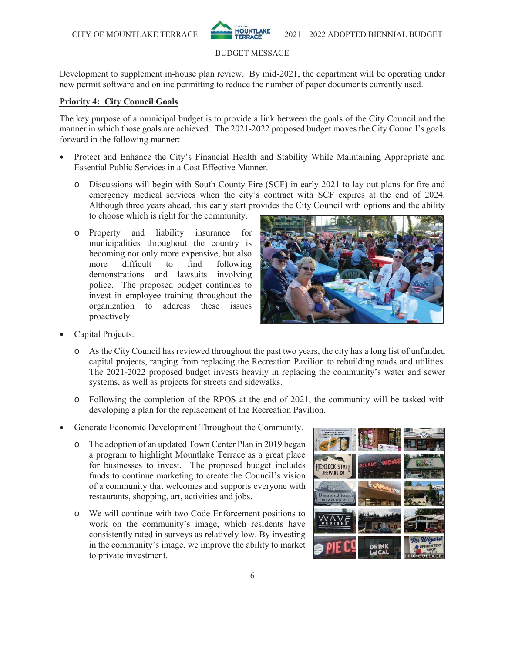

Development to supplement in-house plan review. By mid-2021, the department will be operating under new permit software and online permitting to reduce the number of paper documents currently used.

# **Priority 4: City Council Goals**

The key purpose of a municipal budget is to provide a link between the goals of the City Council and the manner in which those goals are achieved. The 2021-2022 proposed budget moves the City Council's goals forward in the following manner:

- Protect and Enhance the City's Financial Health and Stability While Maintaining Appropriate and Essential Public Services in a Cost Effective Manner.
	- o Discussions will begin with South County Fire (SCF) in early 2021 to lay out plans for fire and emergency medical services when the city's contract with SCF expires at the end of 2024. Although three years ahead, this early start provides the City Council with options and the ability to choose which is right for the community.
	- o Property and liability insurance for municipalities throughout the country is becoming not only more expensive, but also more difficult to find following demonstrations and lawsuits involving police. The proposed budget continues to invest in employee training throughout the organization to address these issues proactively.



- Capital Projects.
	- o As the City Council has reviewed throughout the past two years, the city has a long list of unfunded capital projects, ranging from replacing the Recreation Pavilion to rebuilding roads and utilities. The 2021-2022 proposed budget invests heavily in replacing the community's water and sewer systems, as well as projects for streets and sidewalks.
	- o Following the completion of the RPOS at the end of 2021, the community will be tasked with developing a plan for the replacement of the Recreation Pavilion.
- Generate Economic Development Throughout the Community.
	- o The adoption of an updated Town Center Plan in 2019 began a program to highlight Mountlake Terrace as a great place for businesses to invest. The proposed budget includes funds to continue marketing to create the Council's vision of a community that welcomes and supports everyone with restaurants, shopping, art, activities and jobs.
	- o We will continue with two Code Enforcement positions to work on the community's image, which residents have consistently rated in surveys as relatively low. By investing in the community's image, we improve the ability to market to private investment.

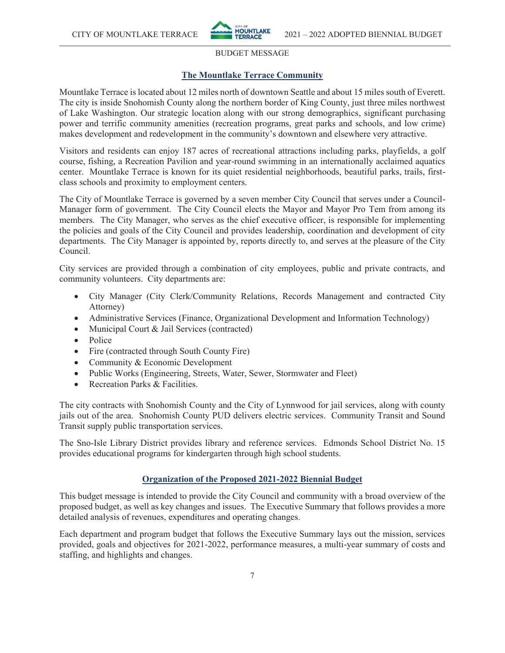

# **The Mountlake Terrace Community**

Mountlake Terrace is located about 12 miles north of downtown Seattle and about 15 miles south of Everett. The city is inside Snohomish County along the northern border of King County, just three miles northwest of Lake Washington. Our strategic location along with our strong demographics, significant purchasing power and terrific community amenities (recreation programs, great parks and schools, and low crime) makes development and redevelopment in the community's downtown and elsewhere very attractive.

Visitors and residents can enjoy 187 acres of recreational attractions including parks, playfields, a golf course, fishing, a Recreation Pavilion and year-round swimming in an internationally acclaimed aquatics center. Mountlake Terrace is known for its quiet residential neighborhoods, beautiful parks, trails, firstclass schools and proximity to employment centers.

The City of Mountlake Terrace is governed by a seven member City Council that serves under a Council-Manager form of government. The City Council elects the Mayor and Mayor Pro Tem from among its members. The City Manager, who serves as the chief executive officer, is responsible for implementing the policies and goals of the City Council and provides leadership, coordination and development of city departments. The City Manager is appointed by, reports directly to, and serves at the pleasure of the City Council.

City services are provided through a combination of city employees, public and private contracts, and community volunteers. City departments are:

- City Manager (City Clerk/Community Relations, Records Management and contracted City Attorney)
- Administrative Services (Finance, Organizational Development and Information Technology)
- Municipal Court & Jail Services (contracted)
- $\bullet$  Police
- Fire (contracted through South County Fire)
- Community  $&$  Economic Development
- Public Works (Engineering, Streets, Water, Sewer, Stormwater and Fleet)
- $\bullet$  Recreation Parks & Facilities.

The city contracts with Snohomish County and the City of Lynnwood for jail services, along with county jails out of the area. Snohomish County PUD delivers electric services. Community Transit and Sound Transit supply public transportation services.

The Sno-Isle Library District provides library and reference services. Edmonds School District No. 15 provides educational programs for kindergarten through high school students.

### **Organization of the Proposed 2021-2022 Biennial Budget**

This budget message is intended to provide the City Council and community with a broad overview of the proposed budget, as well as key changes and issues. The Executive Summary that follows provides a more detailed analysis of revenues, expenditures and operating changes.

Each department and program budget that follows the Executive Summary lays out the mission, services provided, goals and objectives for 2021-2022, performance measures, a multi-year summary of costs and staffing, and highlights and changes.